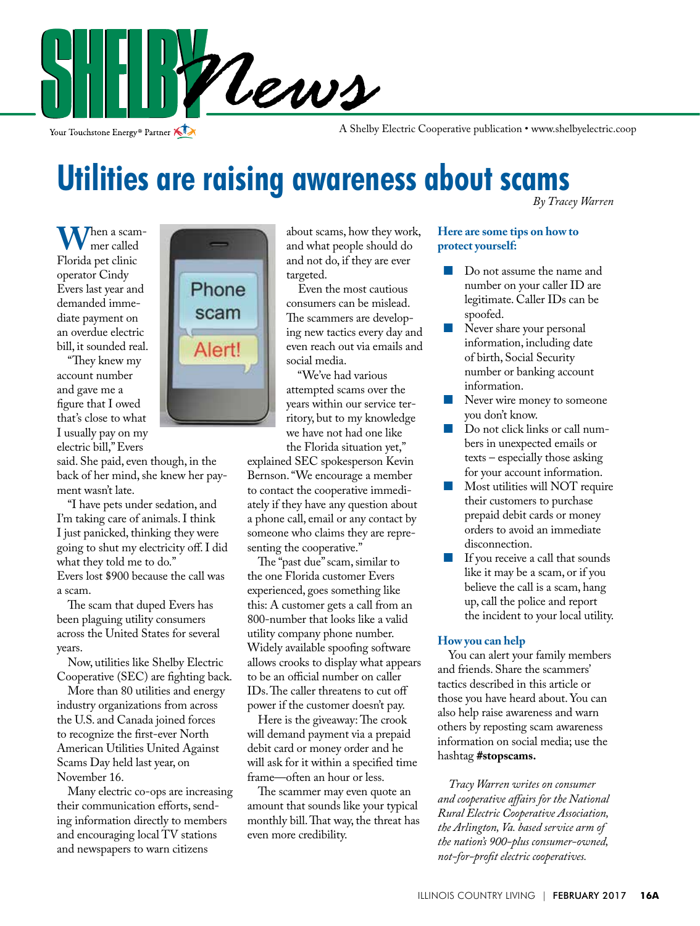

Your Touchstone Energy<sup>®</sup> Partner

A Shelby Electric Cooperative publication • www.shelbyelectric.coop

# **Utilities are raising awareness about scams**

*By Tracey Warren*

**W**hen a scammer called Florida pet clinic operator Cindy Evers last year and demanded immediate payment on an overdue electric bill, it sounded real.

 "They knew my account number and gave me a figure that I owed that's close to what I usually pay on my electric bill," Evers



said. She paid, even though, in the back of her mind, she knew her payment wasn't late.

 "I have pets under sedation, and I'm taking care of animals. I think I just panicked, thinking they were going to shut my electricity off. I did what they told me to do." Evers lost \$900 because the call was a scam.

 The scam that duped Evers has been plaguing utility consumers across the United States for several years.

 Now, utilities like Shelby Electric Cooperative (SEC) are fighting back.

 More than 80 utilities and energy industry organizations from across the U.S. and Canada joined forces to recognize the first-ever North American Utilities United Against Scams Day held last year, on November 16.

 Many electric co-ops are increasing their communication efforts, sending information directly to members and encouraging local TV stations and newspapers to warn citizens

about scams, how they work, and what people should do and not do, if they are ever targeted.

 Even the most cautious consumers can be mislead. The scammers are developing new tactics every day and even reach out via emails and social media.

 "We've had various attempted scams over the years within our service territory, but to my knowledge we have not had one like the Florida situation yet,"

explained SEC spokesperson Kevin Bernson. "We encourage a member to contact the cooperative immediately if they have any question about a phone call, email or any contact by someone who claims they are representing the cooperative."

 The "past due" scam, similar to the one Florida customer Evers experienced, goes something like this: A customer gets a call from an 800-number that looks like a valid utility company phone number. Widely available spoofing software allows crooks to display what appears to be an official number on caller IDs. The caller threatens to cut off power if the customer doesn't pay.

 Here is the giveaway: The crook will demand payment via a prepaid debit card or money order and he will ask for it within a specified time frame––often an hour or less.

 The scammer may even quote an amount that sounds like your typical monthly bill. That way, the threat has even more credibility.

#### **Here are some tips on how to protect yourself:**

- Do not assume the name and number on your caller ID are legitimate. Caller IDs can be spoofed.
- Never share your personal information, including date of birth, Social Security number or banking account information.
- Never wire money to someone you don't know.
- Do not click links or call numbers in unexpected emails or texts – especially those asking for your account information.
- **Most utilities will NOT require** their customers to purchase prepaid debit cards or money orders to avoid an immediate disconnection.
- **If you receive a call that sounds** like it may be a scam, or if you believe the call is a scam, hang up, call the police and report the incident to your local utility.

#### **How you can help**

 You can alert your family members and friends. Share the scammers' tactics described in this article or those you have heard about. You can also help raise awareness and warn others by reposting scam awareness information on social media; use the hashtag **#stopscams.**

 *Tracy Warren writes on consumer and cooperative affairs for the National Rural Electric Cooperative Association, the Arlington, Va. based service arm of the nation's 900-plus consumer-owned, not-for-profit electric cooperatives.*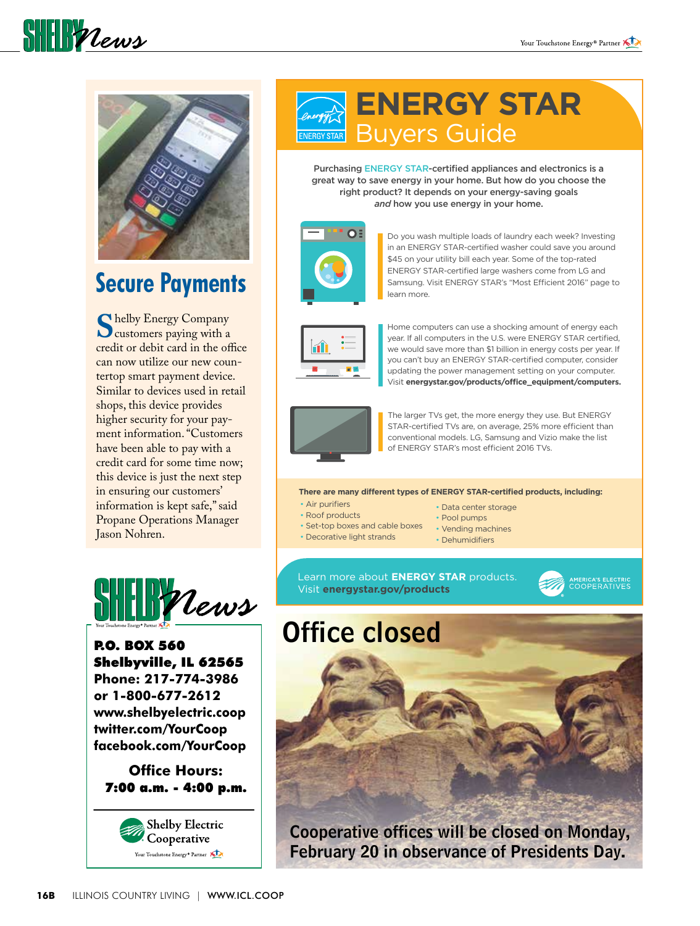

 $\frac{1}{2}$ 

## **Secure Payments**

**S** helby Energy Company<br>customers paying with a<br>credit or debit card in the off credit or debit card in the office can now utilize our new countertop smart payment device. Similar to devices used in retail shops, this device provides higher security for your payment information. "Customers have been able to pay with a credit card for some time now; this device is just the next step in ensuring our customers' information is kept safe," said Propane Operations Manager Jason Nohren.



P.O. BOX 560 Shelbyville, IL 62565 **Phone: 217-774-3986 or 1-800-677-2612 www.shelbyelectric.coop twitter.com/YourCoop facebook.com/YourCoop**

**Office Hours:** 7:00 a.m. - 4:00 p.m.



## **ENERGY STAR**  Buyers Guide

Purchasing ENERGY STAR-certified appliances and electronics is a great way to save energy in your home. But how do you choose the right product? It depends on your energy-saving goals *and* how you use energy in your home.



Do you wash multiple loads of laundry each week? Investing in an ENERGY STAR-certified washer could save you around \$45 on your utility bill each year. Some of the top-rated ENERGY STAR-certified large washers come from LG and Samsung. Visit ENERGY STAR's "Most Efficient 2016" page to learn more.



Home computers can use a shocking amount of energy each year. If all computers in the U.S. were ENERGY STAR certified, we would save more than \$1 billion in energy costs per year. If you can't buy an ENERGY STAR-certified computer, consider updating the power management setting on your computer. Visit energystar.gov/products/office\_equipment/computers.



The larger TVs get, the more energy they use. But ENERGY STAR-certified TVs are, on average, 25% more efficient than conventional models. LG, Samsung and Vizio make the list of ENERGY STAR's most efficient 2016 TVs.

**There are many different types of ENERGY STAR-certified products, including:** 

- Air purifiers
- Data center storage
- Roof products
- Set-top boxes and cable boxes Vending machines
- Pool pumps
- Decorative light strands • Dehumidifiers

Learn more about **ENERGY STAR** products. Visit **energystar.gov/products**



# Office closed



February 20 in observance of Presidents Day.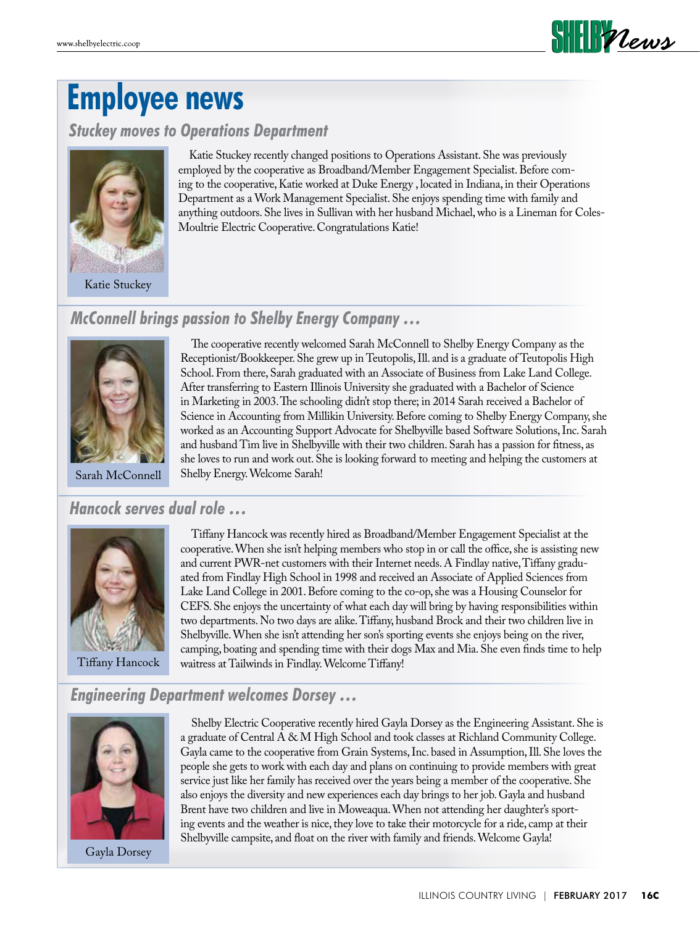

## **Employee news**

*Stuckey moves to Operations Department*



Katie Stuckey

 Katie Stuckey recently changed positions to Operations Assistant. She was previously employed by the cooperative as Broadband/Member Engagement Specialist. Before coming to the cooperative, Katie worked at Duke Energy , located in Indiana, in their Operations Department as a Work Management Specialist. She enjoys spending time with family and anything outdoors. She lives in Sullivan with her husband Michael, who is a Lineman for Coles-Moultrie Electric Cooperative. Congratulations Katie!

### *McConnell brings passion to Shelby Energy Company …*



 The cooperative recently welcomed Sarah McConnell to Shelby Energy Company as the Receptionist/Bookkeeper. She grew up in Teutopolis, Ill. and is a graduate of Teutopolis High School. From there, Sarah graduated with an Associate of Business from Lake Land College. After transferring to Eastern Illinois University she graduated with a Bachelor of Science in Marketing in 2003. The schooling didn't stop there; in 2014 Sarah received a Bachelor of Science in Accounting from Millikin University. Before coming to Shelby Energy Company, she worked as an Accounting Support Advocate for Shelbyville based Software Solutions, Inc. Sarah and husband Tim live in Shelbyville with their two children. Sarah has a passion for fitness, as she loves to run and work out. She is looking forward to meeting and helping the customers at Shelby Energy. Welcome Sarah!

### *Hancock serves dual role …*



Tiffany Hancock

 Tiffany Hancock was recently hired as Broadband/Member Engagement Specialist at the cooperative. When she isn't helping members who stop in or call the office, she is assisting new and current PWR-net customers with their Internet needs. A Findlay native, Tiffany graduated from Findlay High School in 1998 and received an Associate of Applied Sciences from Lake Land College in 2001. Before coming to the co-op, she was a Housing Counselor for CEFS. She enjoys the uncertainty of what each day will bring by having responsibilities within two departments. No two days are alike. Tiffany, husband Brock and their two children live in Shelbyville. When she isn't attending her son's sporting events she enjoys being on the river, camping, boating and spending time with their dogs Max and Mia. She even finds time to help waitress at Tailwinds in Findlay. Welcome Tiffany!

### *Engineering Department welcomes Dorsey …*



Gayla Dorsey

 Shelby Electric Cooperative recently hired Gayla Dorsey as the Engineering Assistant. She is a graduate of Central A & M High School and took classes at Richland Community College. Gayla came to the cooperative from Grain Systems, Inc. based in Assumption, Ill. She loves the people she gets to work with each day and plans on continuing to provide members with great service just like her family has received over the years being a member of the cooperative. She also enjoys the diversity and new experiences each day brings to her job. Gayla and husband Brent have two children and live in Moweaqua. When not attending her daughter's sporting events and the weather is nice, they love to take their motorcycle for a ride, camp at their Shelbyville campsite, and float on the river with family and friends. Welcome Gayla!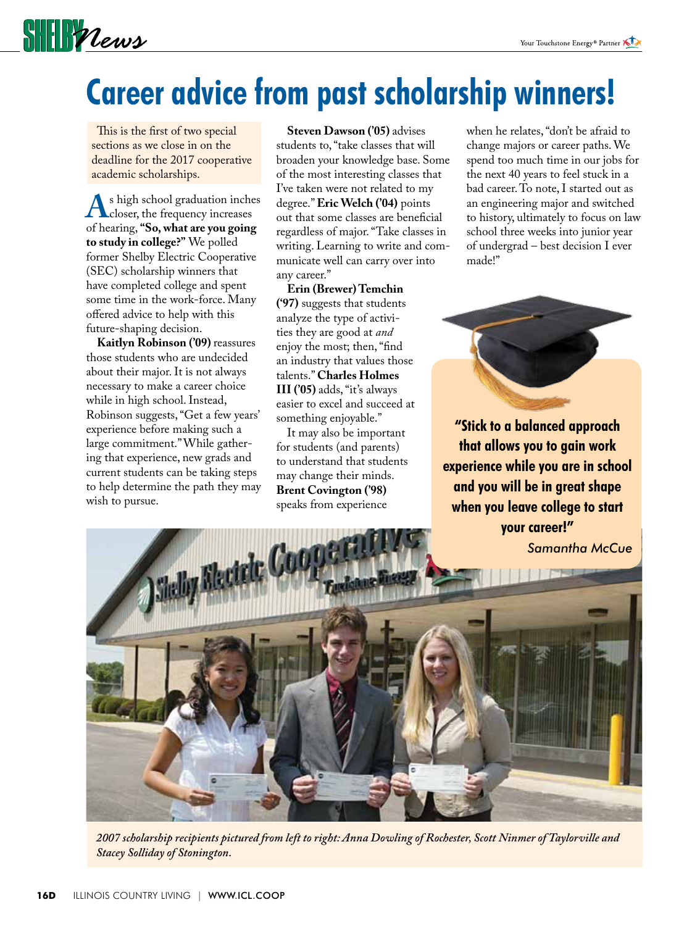# **SHIPPLEWS**

# **Career advice from past scholarship winners!**

 This is the first of two special sections as we close in on the deadline for the 2017 cooperative academic scholarships.

As high school graduation inches<br>
closer, the frequency increases<br>
of hearing "So, what are you going of hearing, **"So, what are you going to study in college?"** We polled former Shelby Electric Cooperative (SEC) scholarship winners that have completed college and spent some time in the work-force. Many offered advice to help with this future-shaping decision.

**Kaitlyn Robinson ('09)** reassures those students who are undecided about their major. It is not always necessary to make a career choice while in high school. Instead, Robinson suggests, "Get a few years' experience before making such a large commitment." While gathering that experience, new grads and current students can be taking steps to help determine the path they may wish to pursue.

**Steven Dawson ('05)** advises students to, "take classes that will broaden your knowledge base. Some of the most interesting classes that I've taken were not related to my degree." **Eric Welch ('04)** points out that some classes are beneficial regardless of major. "Take classes in writing. Learning to write and communicate well can carry over into any career."

**Erin (Brewer) Temchin ('97)** suggests that students analyze the type of activities they are good at *and* enjoy the most; then, "find an industry that values those talents." **Charles Holmes III ('05)** adds, "it's always easier to excel and succeed at something enjoyable."

 It may also be important for students (and parents) to understand that students may change their minds. **Brent Covington ('98)** speaks from experience

when he relates, "don't be afraid to change majors or career paths. We spend too much time in our jobs for the next 40 years to feel stuck in a bad career. To note, I started out as an engineering major and switched to history, ultimately to focus on law school three weeks into junior year of undergrad – best decision I ever made!"



**"Stick to a balanced approach that allows you to gain work experience while you are in school and you will be in great shape when you leave college to start your career!"**



*2007 scholarship recipients pictured from left to right: Anna Dowling of Rochester, Scott Ninmer of Taylorville and Stacey Solliday of Stonington.*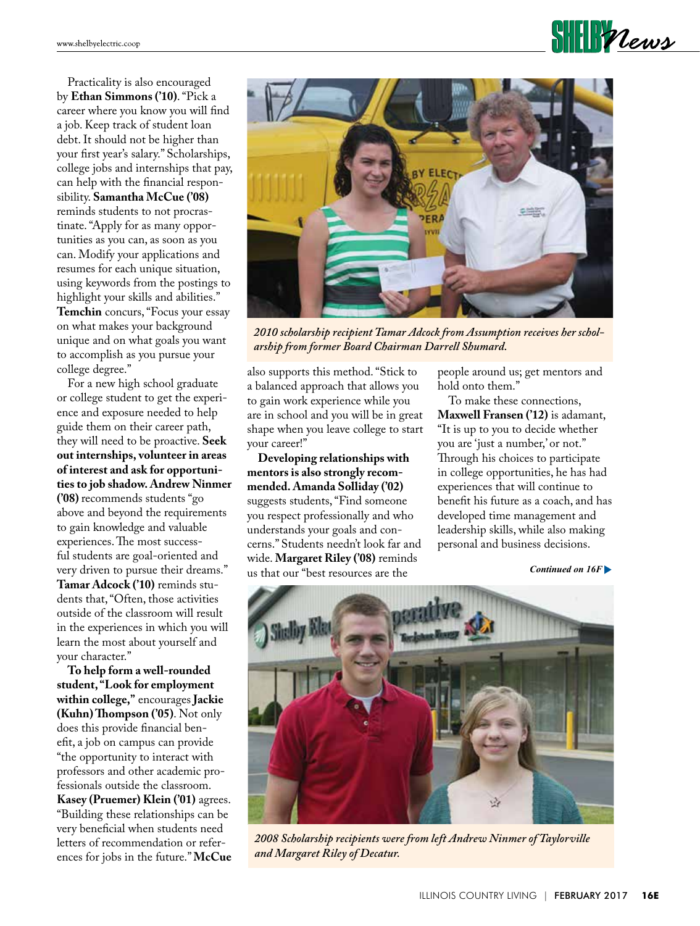**SHELF**Vews

 Practicality is also encouraged by **Ethan Simmons ('10)**. "Pick a career where you know you will find a job. Keep track of student loan debt. It should not be higher than your first year's salary." Scholarships, college jobs and internships that pay, can help with the financial responsibility. **Samantha McCue ('08)** reminds students to not procrastinate. "Apply for as many opportunities as you can, as soon as you can. Modify your applications and resumes for each unique situation, using keywords from the postings to highlight your skills and abilities." **Temchin** concurs, "Focus your essay on what makes your background unique and on what goals you want to accomplish as you pursue your college degree."

 For a new high school graduate or college student to get the experience and exposure needed to help guide them on their career path, they will need to be proactive. **Seek out internships, volunteer in areas of interest and ask for opportunities to job shadow. Andrew Ninmer ('08)** recommends students "go above and beyond the requirements to gain knowledge and valuable experiences. The most successful students are goal-oriented and very driven to pursue their dreams." **Tamar Adcock ('10)** reminds students that, "Often, those activities outside of the classroom will result in the experiences in which you will learn the most about yourself and your character."

**To help form a well-rounded student, "Look for employment within college,"** encourages **Jackie (Kuhn) Thompson ('05)**. Not only does this provide financial benefit, a job on campus can provide "the opportunity to interact with professors and other academic professionals outside the classroom. **Kasey (Pruemer) Klein ('01)** agrees. "Building these relationships can be very beneficial when students need letters of recommendation or references for jobs in the future." **McCue** 



*2010 scholarship recipient Tamar Adcock from Assumption receives her scholarship from former Board Chairman Darrell Shumard.*

also supports this method. "Stick to a balanced approach that allows you to gain work experience while you are in school and you will be in great shape when you leave college to start your career!"

**Developing relationships with mentors is also strongly recommended. Amanda Solliday ('02)**  suggests students, "Find someone you respect professionally and who understands your goals and concerns." Students needn't look far and wide. **Margaret Riley ('08)** reminds us that our "best resources are the

people around us; get mentors and hold onto them."

 To make these connections, **Maxwell Fransen ('12)** is adamant, "It is up to you to decide whether you are 'just a number,' or not." Through his choices to participate in college opportunities, he has had experiences that will continue to benefit his future as a coach, and has developed time management and leadership skills, while also making personal and business decisions.

*Continued on 16F* 



*2008 Scholarship recipients were from left Andrew Ninmer of Taylorville and Margaret Riley of Decatur.*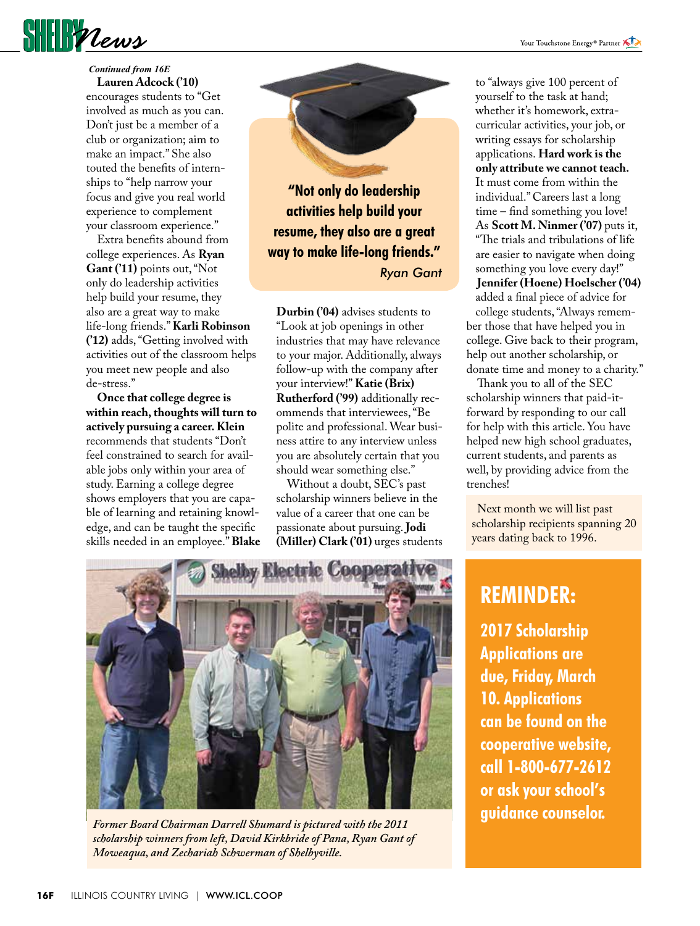

#### **Lauren Adcock ('10)** *Continued from 16E*

encourages students to "Get involved as much as you can. Don't just be a member of a club or organization; aim to make an impact." She also touted the benefits of internships to "help narrow your focus and give you real world experience to complement your classroom experience."

 Extra benefits abound from college experiences. As **Ryan Gant ('11)** points out, "Not only do leadership activities help build your resume, they also are a great way to make life-long friends." **Karli Robinson ('12)** adds, "Getting involved with activities out of the classroom helps you meet new people and also de-stress."

**Once that college degree is within reach, thoughts will turn to actively pursuing a career. Klein** recommends that students "Don't feel constrained to search for available jobs only within your area of study. Earning a college degree shows employers that you are capable of learning and retaining knowledge, and can be taught the specific skills needed in an employee." **Blake** 

**"Not only do leadership activities help build your resume, they also are a great way to make life-long friends."** *Ryan Gant*

**Durbin ('04)** advises students to "Look at job openings in other industries that may have relevance to your major. Additionally, always follow-up with the company after your interview!" **Katie (Brix) Rutherford ('99)** additionally recommends that interviewees, "Be polite and professional. Wear business attire to any interview unless you are absolutely certain that you should wear something else."

 Without a doubt, SEC's past scholarship winners believe in the value of a career that one can be passionate about pursuing. **Jodi (Miller) Clark ('01)** urges students

to "always give 100 percent of yourself to the task at hand; whether it's homework, extracurricular activities, your job, or writing essays for scholarship applications. **Hard work is the only attribute we cannot teach.** It must come from within the individual." Careers last a long time – find something you love! As **Scott M. Ninmer ('07)** puts it, "The trials and tribulations of life are easier to navigate when doing something you love every day!" **Jennifer (Hoene) Hoelscher ('04)**  added a final piece of advice for

college students, "Always remember those that have helped you in college. Give back to their program, help out another scholarship, or donate time and money to a charity."

 Thank you to all of the SEC scholarship winners that paid-itforward by responding to our call for help with this article. You have helped new high school graduates, current students, and parents as well, by providing advice from the trenches!

 Next month we will list past scholarship recipients spanning 20 years dating back to 1996.



*Former Board Chairman Darrell Shumard is pictured with the 2011 scholarship winners from left, David Kirkbride of Pana, Ryan Gant of Moweaqua, and Zechariah Schwerman of Shelbyville.*

## **REMINDER:**

**2017 Scholarship Applications are due, Friday, March 10. Applications can be found on the cooperative website, call 1-800-677-2612 or ask your school's guidance counselor.**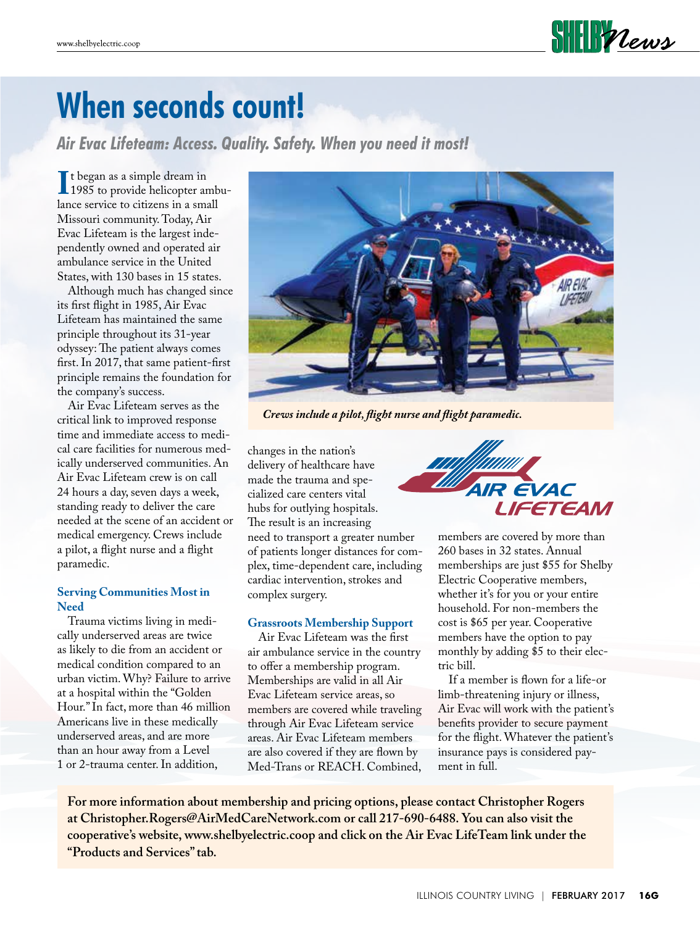

# **When seconds count!**

*Air Evac Lifeteam: Access. Quality. Safety. When you need it most!*

I<sup>I</sup> t began as a simple dream in<br>1985 to provide helicopter ambu-<br>lance service to citizens in a small t began as a simple dream in lance service to citizens in a small Missouri community. Today, Air Evac Lifeteam is the largest independently owned and operated air ambulance service in the United States, with 130 bases in 15 states.

 Although much has changed since its first flight in 1985, Air Evac Lifeteam has maintained the same principle throughout its 31-year odyssey: The patient always comes first. In 2017, that same patient-first principle remains the foundation for the company's success.

 Air Evac Lifeteam serves as the critical link to improved response time and immediate access to medical care facilities for numerous medically underserved communities. An Air Evac Lifeteam crew is on call 24 hours a day, seven days a week, standing ready to deliver the care needed at the scene of an accident or medical emergency. Crews include a pilot, a flight nurse and a flight paramedic.

### **Serving Communities Most in Need**

 Trauma victims living in medically underserved areas are twice as likely to die from an accident or medical condition compared to an urban victim. Why? Failure to arrive at a hospital within the "Golden Hour." In fact, more than 46 million Americans live in these medically underserved areas, and are more than an hour away from a Level 1 or 2-trauma center. In addition,



*Crews include a pilot, flight nurse and f light paramedic.*

changes in the nation's delivery of healthcare have made the trauma and specialized care centers vital hubs for outlying hospitals. The result is an increasing need to transport a greater number of patients longer distances for complex, time-dependent care, including cardiac intervention, strokes and complex surgery.

#### **Grassroots Membership Support**

 Air Evac Lifeteam was the first air ambulance service in the country to offer a membership program. Memberships are valid in all Air Evac Lifeteam service areas, so members are covered while traveling through Air Evac Lifeteam service areas. Air Evac Lifeteam members are also covered if they are flown by Med-Trans or REACH. Combined,



members are covered by more than 260 bases in 32 states. Annual memberships are just \$55 for Shelby Electric Cooperative members, whether it's for you or your entire household. For non-members the cost is \$65 per year. Cooperative members have the option to pay monthly by adding \$5 to their electric bill.

 If a member is flown for a life-or limb-threatening injury or illness, Air Evac will work with the patient's benefits provider to secure payment for the flight. Whatever the patient's insurance pays is considered payment in full.

**For more information about membership and pricing options, please contact Christopher Rogers at Christopher.Rogers@AirMedCareNetwork.com or call 217-690-6488. You can also visit the cooperative's website, www.shelbyelectric.coop and click on the Air Evac LifeTeam link under the "Products and Services" tab.**